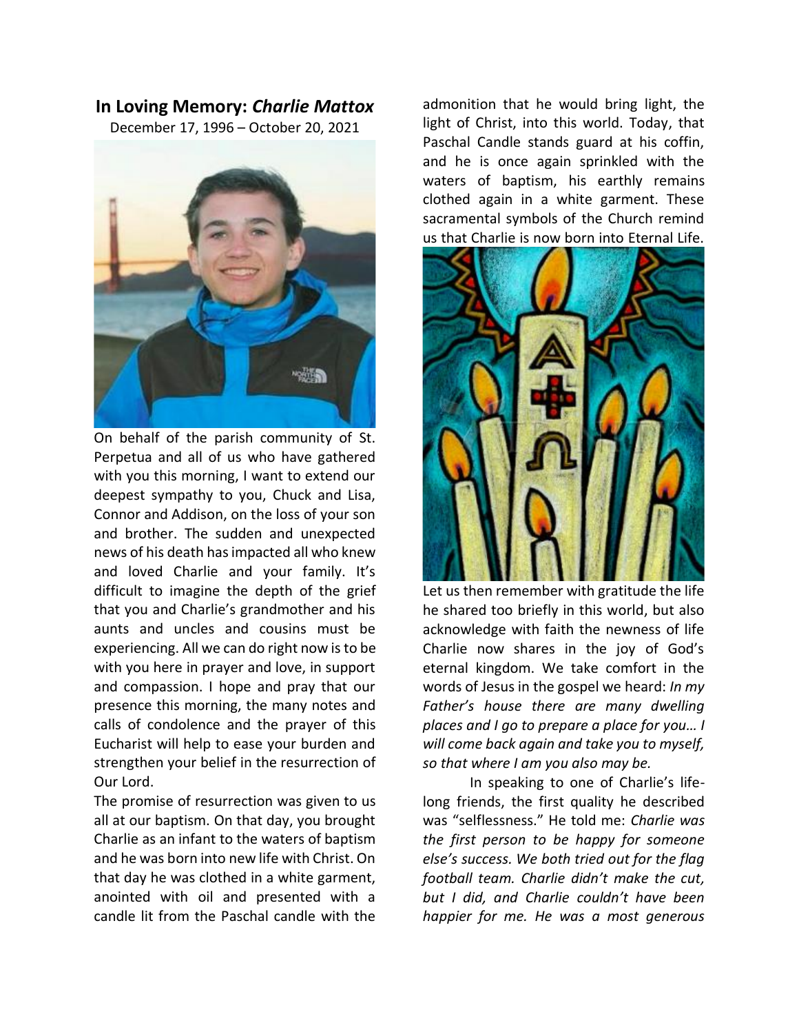## **In Loving Memory:** *Charlie Mattox*

December 17, 1996 – October 20, 2021



On behalf of the parish community of St. Perpetua and all of us who have gathered with you this morning, I want to extend our deepest sympathy to you, Chuck and Lisa, Connor and Addison, on the loss of your son and brother. The sudden and unexpected news of his death has impacted all who knew and loved Charlie and your family. It's difficult to imagine the depth of the grief that you and Charlie's grandmother and his aunts and uncles and cousins must be experiencing. All we can do right now is to be with you here in prayer and love, in support and compassion. I hope and pray that our presence this morning, the many notes and calls of condolence and the prayer of this Eucharist will help to ease your burden and strengthen your belief in the resurrection of Our Lord.

The promise of resurrection was given to us all at our baptism. On that day, you brought Charlie as an infant to the waters of baptism and he was born into new life with Christ. On that day he was clothed in a white garment, anointed with oil and presented with a candle lit from the Paschal candle with the

admonition that he would bring light, the light of Christ, into this world. Today, that Paschal Candle stands guard at his coffin, and he is once again sprinkled with the waters of baptism, his earthly remains clothed again in a white garment. These sacramental symbols of the Church remind us that Charlie is now born into Eternal Life.



Let us then remember with gratitude the life he shared too briefly in this world, but also acknowledge with faith the newness of life Charlie now shares in the joy of God's eternal kingdom. We take comfort in the words of Jesus in the gospel we heard: *In my Father's house there are many dwelling places and I go to prepare a place for you… I will come back again and take you to myself, so that where I am you also may be.* 

In speaking to one of Charlie's lifelong friends, the first quality he described was "selflessness." He told me: *Charlie was the first person to be happy for someone else's success. We both tried out for the flag football team. Charlie didn't make the cut, but I did, and Charlie couldn't have been happier for me. He was a most generous*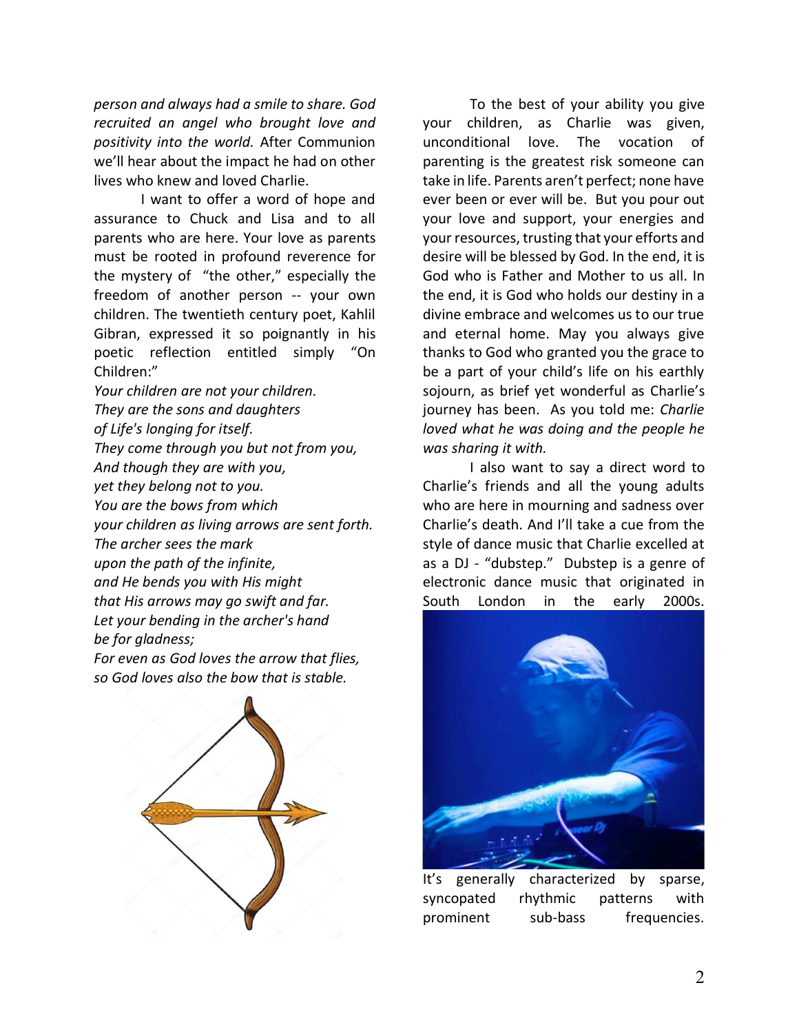*person and always had a smile to share. God recruited an angel who brought love and positivity into the world.* After Communion we'll hear about the impact he had on other lives who knew and loved Charlie.

I want to offer a word of hope and assurance to Chuck and Lisa and to all parents who are here. Your love as parents must be rooted in profound reverence for the mystery of "the other," especially the freedom of another person -- your own children. The twentieth century poet, Kahlil Gibran, expressed it so poignantly in his poetic reflection entitled simply "On Children:"

*Your children are not your children. They are the sons and daughters of Life's longing for itself. They come through you but not from you, And though they are with you, yet they belong not to you. You are the bows from which your children as living arrows are sent forth. The archer sees the mark upon the path of the infinite, and He bends you with His might that His arrows may go swift and far. Let your bending in the archer's hand be for gladness;*

*For even as God loves the arrow that flies, so God loves also the bow that is stable.*



To the best of your ability you give your children, as Charlie was given, unconditional love. The vocation of parenting is the greatest risk someone can take in life. Parents aren't perfect; none have ever been or ever will be. But you pour out your love and support, your energies and your resources, trusting that your efforts and desire will be blessed by God. In the end, it is God who is Father and Mother to us all. In the end, it is God who holds our destiny in a divine embrace and welcomes us to our true and eternal home. May you always give thanks to God who granted you the grace to be a part of your child's life on his earthly sojourn, as brief yet wonderful as Charlie's journey has been. As you told me: *Charlie loved what he was doing and the people he was sharing it with.*

I also want to say a direct word to Charlie's friends and all the young adults who are here in mourning and sadness over Charlie's death. And I'll take a cue from the style of dance music that Charlie excelled at as a DJ - "dubstep." Dubstep is a genre of electronic dance music that originated in South London in the early 2000s.



It's generally characterized by sparse, syncopated rhythmic patterns with prominent sub-bass frequencies.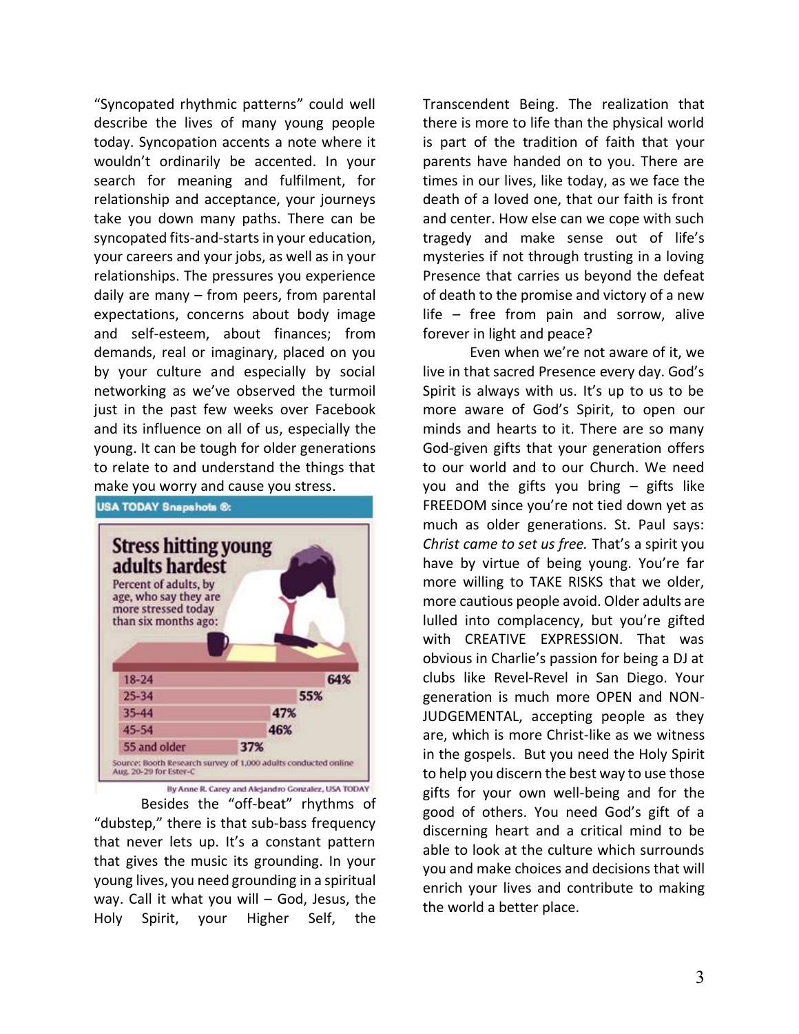"Syncopated rhythmic patterns" could well describe the lives of many young people today. Syncopation accents a note where it wouldn't ordinarily be accented. In your search for meaning and fulfilment, for relationship and acceptance, your journeys take you down many paths. There can be syncopated fits-and-starts in your education, your careers and your jobs, as well as in your relationships. The pressures you experience daily are many – from peers, from parental expectations, concerns about body image and self-esteem, about finances; from demands, real or imaginary, placed on you by your culture and especially by social networking as we've observed the turmoil just in the past few weeks over Facebook and its influence on all of us, especially the young. It can be tough for older generations to relate to and understand the things that make you worry and cause you stress.



By Anne R. Carey and Alejandro Gonzalez, USA TODAY

Besides the "off-beat" rhythms of "dubstep," there is that sub-bass frequency that never lets up. It's a constant pattern that gives the music its grounding. In your young lives, you need grounding in a spiritual way. Call it what you will – God, Jesus, the Holy Spirit, your Higher Self, the

Transcendent Being. The realization that there is more to life than the physical world is part of the tradition of faith that your parents have handed on to you. There are times in our lives, like today, as we face the death of a loved one, that our faith is front and center. How else can we cope with such tragedy and make sense out of life's mysteries if not through trusting in a loving Presence that carries us beyond the defeat of death to the promise and victory of a new life – free from pain and sorrow, alive forever in light and peace?

Even when we're not aware of it, we live in that sacred Presence every day. God's Spirit is always with us. It's up to us to be more aware of God's Spirit, to open our minds and hearts to it. There are so many God-given gifts that your generation offers to our world and to our Church. We need you and the gifts you bring – gifts like FREEDOM since you're not tied down yet as much as older generations. St. Paul says: *Christ came to set us free.* That's a spirit you have by virtue of being young. You're far more willing to TAKE RISKS that we older, more cautious people avoid. Older adults are lulled into complacency, but you're gifted with CREATIVE EXPRESSION. That was obvious in Charlie's passion for being a DJ at clubs like Revel-Revel in San Diego. Your generation is much more OPEN and NON-JUDGEMENTAL, accepting people as they are, which is more Christ-like as we witness in the gospels. But you need the Holy Spirit to help you discern the best way to use those gifts for your own well-being and for the good of others. You need God's gift of a discerning heart and a critical mind to be able to look at the culture which surrounds you and make choices and decisions that will enrich your lives and contribute to making the world a better place.